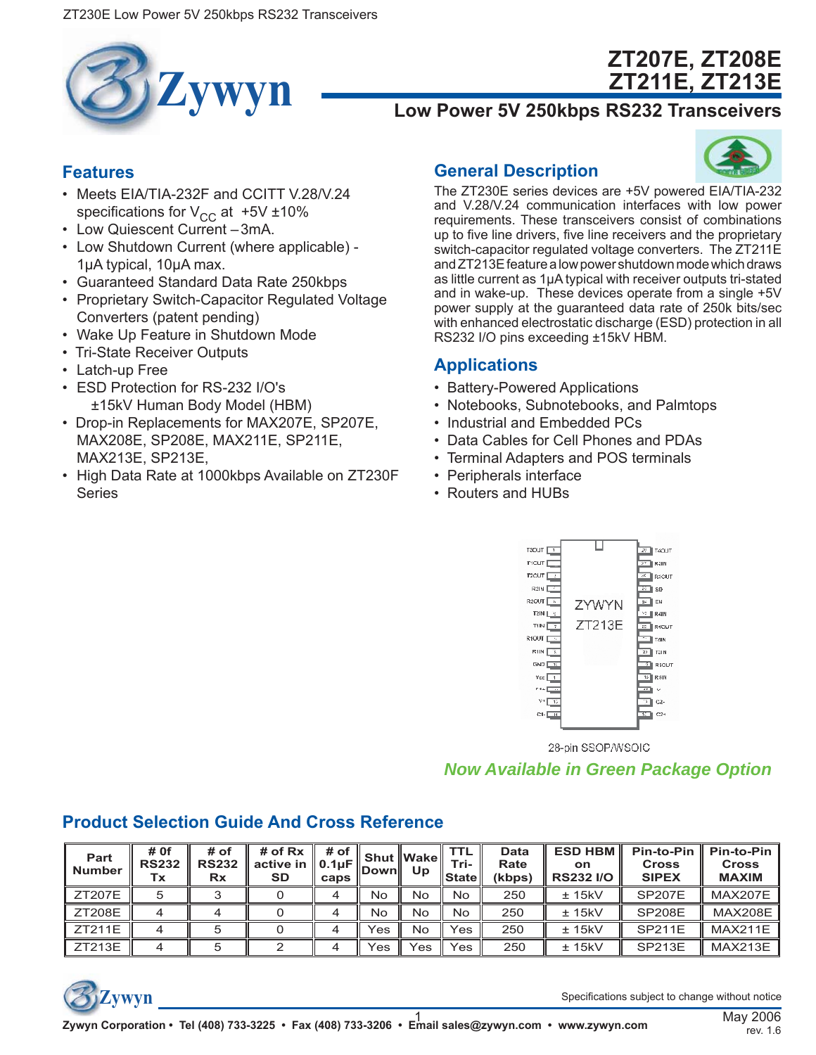

# **ZT207E, ZT208E ZT211E, ZT213E**

## **Low Power 5V 250kbps RS232 Transceivers**

#### **Features**

- Meets EIA/TIA-232F and CCITT V.28/V.24 specifications for  $V_{CC}$  at +5V ±10%
- Low Quiescent Current 3mA.
- Low Shutdown Current (where applicable) 1μA typical, 10μA max.
- Guaranteed Standard Data Rate 250kbps
- Proprietary Switch-Capacitor Regulated Voltage Converters (patent pending)
- Wake Up Feature in Shutdown Mode
- Tri-State Receiver Outputs
- Latch-up Free
- ESD Protection for RS-232 I/O's ±15kV Human Body Model (HBM)
- Drop-in Replacements for MAX207E, SP207E, MAX208E, SP208E, MAX211E, SP211E, MAX213E, SP213E,
- High Data Rate at 1000kbps Available on ZT230F **Series**

## **General Description**



The ZT230E series devices are +5V powered EIA/TIA-232 and V.28/V.24 communication interfaces with low power requirements. These transceivers consist of combinations up to five line drivers, five line receivers and the proprietary switch-capacitor regulated voltage converters. The ZT211E and ZT213E feature a low power shutdown mode which draws as little current as 1μA typical with receiver outputs tri-stated and in wake-up. These devices operate from a single +5V power supply at the guaranteed data rate of 250k bits/sec with enhanced electrostatic discharge (ESD) protection in all RS232 I/O pins exceeding ±15kV HBM.

#### **Applications**

- Battery-Powered Applications
- Notebooks, Subnotebooks, and Palmtops
- Industrial and Embedded PCs
- Data Cables for Cell Phones and PDAs
- Terminal Adapters and POS terminals
- Peripherals interface
- Routers and HUBs



28-pin SSOP/WSOIC

#### *Now Available in Green Package Option*

| Part<br><b>Number</b> | # 0f<br><b>RS232</b><br>Тx | # of<br><b>RS232</b><br><b>Rx</b> | # of $Rx$<br>$\parallel$ active in $\parallel$ 0.1µF $\parallel$ Down $\parallel$<br><b>SD</b> | # of<br>caps |           | <b>Shut Wakell</b><br>Up | TTL<br>Tri-<br>llState ll | Data<br>Rate<br>(kbps) | <b>ESD HBM</b><br><b>on</b><br><b>RS232 I/O</b> | Pin-to-Pin<br><b>Cross</b><br><b>SIPEX</b> | <b>Pin-to-Pin</b><br><b>Cross</b><br><b>MAXIM</b> |
|-----------------------|----------------------------|-----------------------------------|------------------------------------------------------------------------------------------------|--------------|-----------|--------------------------|---------------------------|------------------------|-------------------------------------------------|--------------------------------------------|---------------------------------------------------|
| <b>ZT207E</b>         |                            |                                   |                                                                                                |              | No        | No                       | <b>No</b>                 | 250                    | $±$ 15kV                                        | <b>SP207E</b>                              | <b>MAX207E</b>                                    |
| <b>ZT208E</b>         |                            |                                   |                                                                                                |              | No        | No                       | No                        | 250                    | $±$ 15kV                                        | <b>SP208E</b>                              | <b>MAX208E</b>                                    |
| ZT211E                |                            |                                   |                                                                                                |              | Yes       | No                       | Yes                       | 250                    | $±$ 15kV                                        | <b>SP211E</b>                              | <b>MAX211E</b>                                    |
| ZT213E                |                            |                                   |                                                                                                | Δ.           | $\vee$ es | Yes                      | Yes                       | 250                    | $±$ 15kV                                        | <b>SP213E</b>                              | <b>MAX213E</b>                                    |

#### **Product Selection Guide And Cross Reference**



**Zywyn** Specifications subject to change without notice in the Specifications subject to change without notice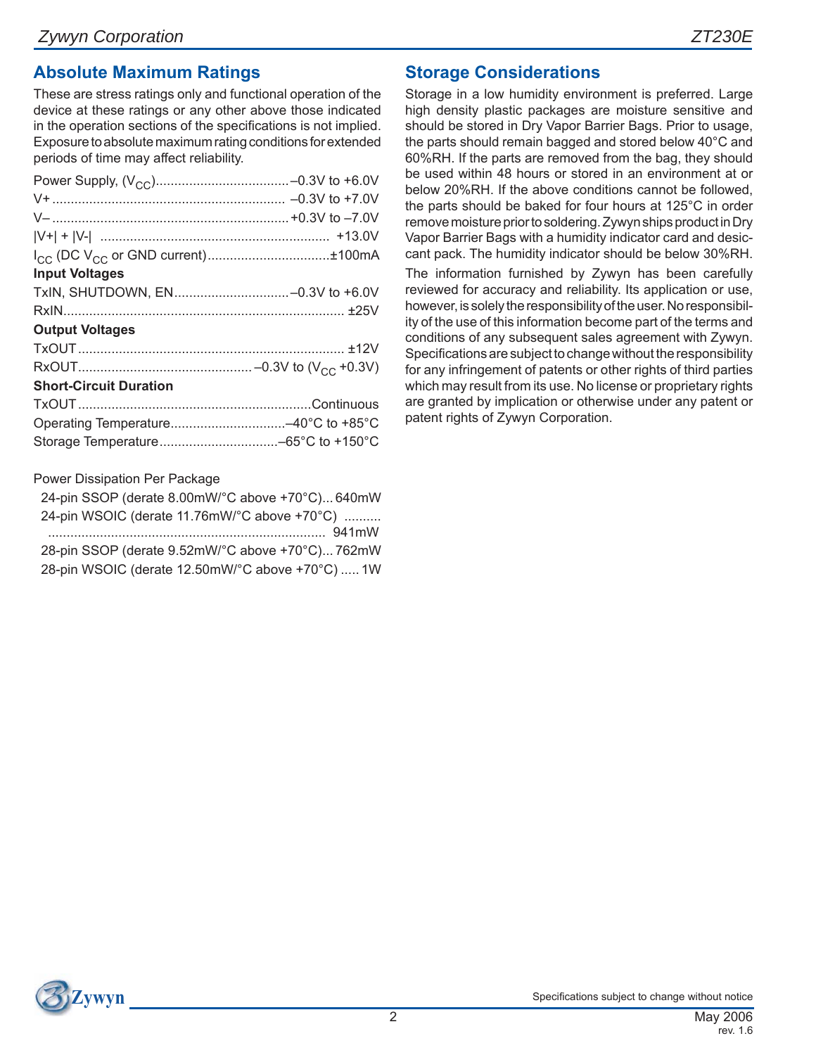## **Absolute Maximum Ratings**

These are stress ratings only and functional operation of the device at these ratings or any other above those indicated in the operation sections of the specifications is not implied. Exposure to absolute maximum rating conditions for extended periods of time may affect reliability.

| <b>Input Voltages</b>         |  |
|-------------------------------|--|
|                               |  |
|                               |  |
| <b>Output Voltages</b>        |  |
|                               |  |
|                               |  |
| <b>Short-Circuit Duration</b> |  |
|                               |  |
|                               |  |
|                               |  |

Power Dissipation Per Package

| 24-pin SSOP (derate 8.00mW/°C above +70°C)640mW  |
|--------------------------------------------------|
| 24-pin WSOIC (derate 11.76mW/°C above +70°C)     |
|                                                  |
| 28-pin SSOP (derate 9.52mW/°C above +70°C) 762mW |
| 28-pin WSOIC (derate 12.50mW/°C above +70°C)  1W |

## **Storage Considerations**

Storage in a low humidity environment is preferred. Large high density plastic packages are moisture sensitive and should be stored in Dry Vapor Barrier Bags. Prior to usage, the parts should remain bagged and stored below 40°C and 60%RH. If the parts are removed from the bag, they should be used within 48 hours or stored in an environment at or below 20%RH. If the above conditions cannot be followed, the parts should be baked for four hours at 125°C in order remove moisture prior to soldering. Zywyn ships product in Dry Vapor Barrier Bags with a humidity indicator card and desiccant pack. The humidity indicator should be below 30%RH.

The information furnished by Zywyn has been carefully reviewed for accuracy and reliability. Its application or use, however, is solely the responsibility of the user. No responsibility of the use of this information become part of the terms and conditions of any subsequent sales agreement with Zywyn. Specifications are subject to change without the responsibility for any infringement of patents or other rights of third parties which may result from its use. No license or proprietary rights are granted by implication or otherwise under any patent or patent rights of Zywyn Corporation.

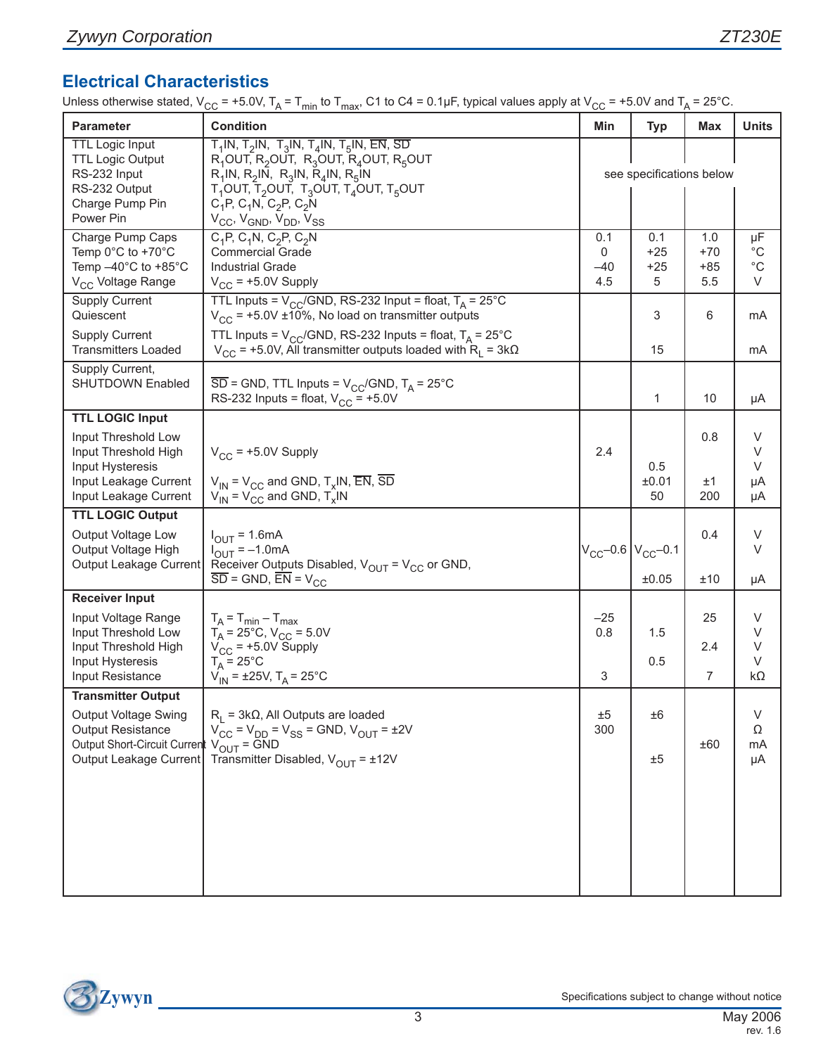# **Electrical Characteristics**

Unless otherwise stated,  $V_{CC}$  = +5.0V,  $T_A$  =  $T_{min}$  to  $T_{max}$ , C1 to C4 = 0.1µF, typical values apply at  $V_{CC}$  = +5.0V and  $T_A$  = 25°C.

| andoo omormoo oldiod, v <sub>UU</sub><br><b>Parameter</b>                                                                                                      | <b>Condition</b>                                                                                                                                                                                                                                                                                                                             | Min                         | $\sim$ $\sim$ $\sim$ $\sim$ $\sim$ $\sim$<br><b>Typ</b> | <b>Max</b>                   | <b>Units</b>                          |
|----------------------------------------------------------------------------------------------------------------------------------------------------------------|----------------------------------------------------------------------------------------------------------------------------------------------------------------------------------------------------------------------------------------------------------------------------------------------------------------------------------------------|-----------------------------|---------------------------------------------------------|------------------------------|---------------------------------------|
| <b>TTL Logic Input</b><br><b>TTL Logic Output</b><br>RS-232 Input<br>RS-232 Output<br>Charge Pump Pin<br>Power Pin                                             | $T_1$ IN, T <sub>2</sub> IN, T <sub>3</sub> IN, T <sub>4</sub> IN, T <sub>5</sub> IN, EN, SD<br>$R_1$ OUT, $R_2$ OUT, $R_3$ OUT, $R_4$ OUT, $R_5$ OUT<br>$R_1$ IN, $R_2$ IN, $R_3$ IN, $R_4$ IN, $R_5$ IN<br>$T_1$ OUT, $T_2$ OUT, $T_3$ OUT, $T_4$ OUT, $T_5$ OUT<br>$C_1P, C_1N, C_2P, C_2N$<br>$V_{CC}$ , $V_{GND}$ , $V_{DD}$ , $V_{SS}$ |                             | see specifications below                                |                              |                                       |
| Charge Pump Caps<br>Temp 0°C to +70°C<br>Temp $-40^{\circ}$ C to +85 $^{\circ}$ C<br>V <sub>CC</sub> Voltage Range                                             | $C_1P, C_1N, C_2P, C_2N$<br><b>Commercial Grade</b><br><b>Industrial Grade</b><br>$V_{CC}$ = +5.0V Supply                                                                                                                                                                                                                                    | 0.1<br>0<br>$-40$<br>4.5    | 0.1<br>$+25$<br>$+25$<br>5                              | 1.0<br>$+70$<br>$+85$<br>5.5 | μF<br>$^{\circ}C$<br>$^{\circ}C$<br>V |
| <b>Supply Current</b><br>Quiescent<br><b>Supply Current</b>                                                                                                    | TTL Inputs = $V_{CC}$ /GND, RS-232 Input = float, T <sub>A</sub> = 25°C<br>$V_{\text{CC}}$ = +5.0V ±10%, No load on transmitter outputs<br>TTL Inputs = $V_{CC}$ /GND, RS-232 Inputs = float, T <sub>A</sub> = 25°C                                                                                                                          |                             | 3                                                       | 6                            | mA                                    |
| <b>Transmitters Loaded</b>                                                                                                                                     | $V_{CC}$ = +5.0V, All transmitter outputs loaded with R <sub>L</sub> = 3k $\Omega$                                                                                                                                                                                                                                                           |                             | 15                                                      |                              | mA                                    |
| Supply Current,<br>SHUTDOWN Enabled                                                                                                                            | $\overline{SD}$ = GND, TTL Inputs = V <sub>CC</sub> /GND, T <sub>A</sub> = 25°C<br>RS-232 Inputs = float, $V_{CC}$ = +5.0V                                                                                                                                                                                                                   |                             | 1                                                       | 10                           | μA                                    |
| <b>TTL LOGIC Input</b><br>Input Threshold Low<br>Input Threshold High<br>Input Hysteresis<br>Input Leakage Current<br>Input Leakage Current                    | $V_{CC}$ = +5.0V Supply<br>$V_{IN}$ = $V_{CC}$ and GND, $T_x IN$ , $\overline{EN}$ , $\overline{SD}$<br>$V_{IN}$ = $V_{CC}$ and GND, $T_x IN$                                                                                                                                                                                                | 2.4                         | 0.5<br>±0.01<br>50                                      | 0.8<br>±1<br>200             | V<br>V<br>$\vee$<br>μA<br>μA          |
| <b>TTL LOGIC Output</b><br>Output Voltage Low<br>Output Voltage High<br>Output Leakage Current                                                                 | $I_{\text{OUT}} = 1.6 \text{mA}$<br>$I_{OUT} = -1.0mA$<br>Receiver Outputs Disabled, $V_{\text{OUT}} = V_{\text{CC}}$ or GND,<br>$\overline{SD}$ = GND, $\overline{EN}$ = V <sub>CC</sub>                                                                                                                                                    | $V_{CC}$ -0.6 $V_{CC}$ -0.1 | ±0.05                                                   | 0.4<br>±10                   | V<br>V<br>μA                          |
| <b>Receiver Input</b><br>Input Voltage Range<br>Input Threshold Low<br>Input Threshold High<br>Input Hysteresis<br>Input Resistance                            | $T_A = T_{min} - T_{max}$<br>$T_A$ = 25°C, $V_{CC}$ = 5.0V<br>$V_{CC}$ = +5.0V Supply<br>$T_A = 25^{\circ}C$<br>$V_{IN}$ = ±25V, T <sub>A</sub> = 25°C                                                                                                                                                                                       | $-25$<br>0.8<br>3           | 1.5<br>0.5                                              | 25<br>2.4<br>7               | V<br>V<br>V<br>V<br>$k\Omega$         |
| <b>Transmitter Output</b><br>Output Voltage Swing<br><b>Output Resistance</b><br>Output Short-Circuit Current $V_{\text{OUT}} =$ GND<br>Output Leakage Current | $R_1$ = 3k $\Omega$ , All Outputs are loaded<br>$V_{CC} = V_{DD} = V_{SS} = GND$ , $V_{OUT} = \pm 2V$<br>Transmitter Disabled, $V_{\text{OUT}} = \pm 12V$                                                                                                                                                                                    | ±5<br>300                   | ±6<br>±5                                                | ±60                          | $\vee$<br>Ω<br>mA<br>μA               |

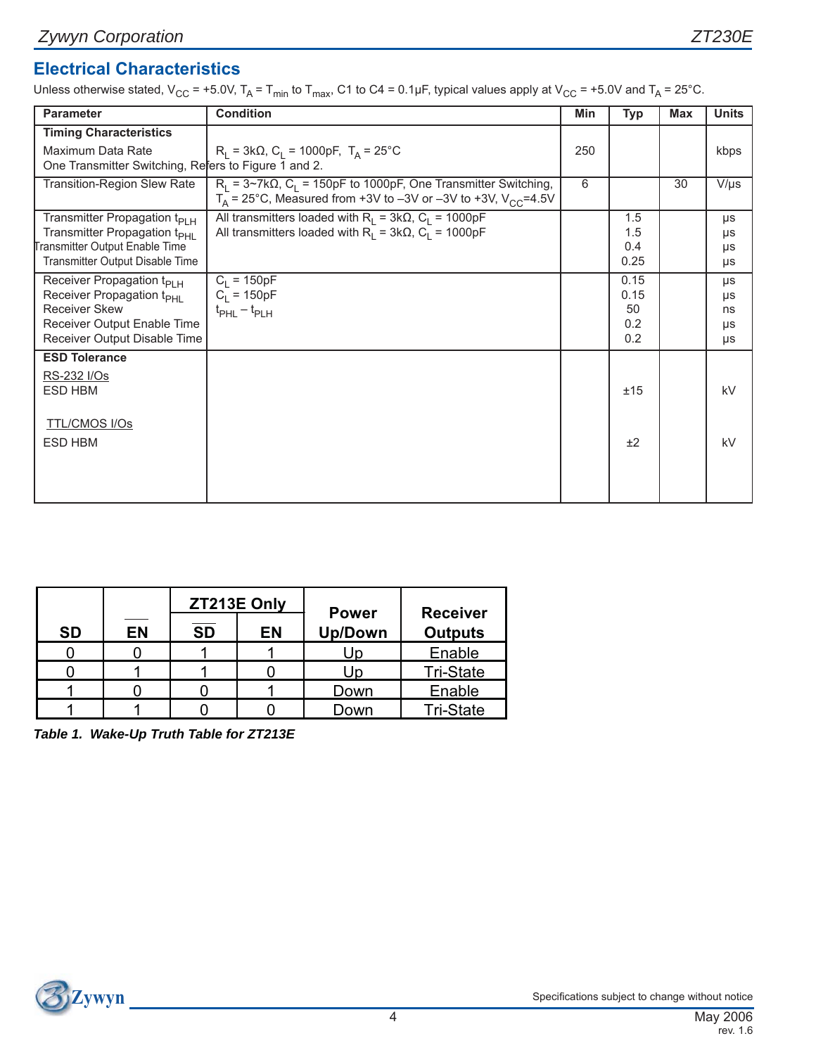## **Electrical Characteristics**

Unless otherwise stated,  $V_{CC}$  = +5.0V,  $T_A$  =  $T_{min}$  to  $T_{max}$ , C1 to C4 = 0.1µF, typical values apply at  $V_{CC}$  = +5.0V and  $T_A$  = 25°C.

| <b>Parameter</b>                                                                                                                                               | <b>Condition</b>                                                                                                                                                 | Min | Typ                              | <b>Max</b> | <b>Units</b>                    |
|----------------------------------------------------------------------------------------------------------------------------------------------------------------|------------------------------------------------------------------------------------------------------------------------------------------------------------------|-----|----------------------------------|------------|---------------------------------|
| <b>Timing Characteristics</b>                                                                                                                                  |                                                                                                                                                                  |     |                                  |            |                                 |
| Maximum Data Rate<br>One Transmitter Switching, Refers to Figure 1 and 2.                                                                                      | $R_1 = 3k\Omega$ , C <sub>1</sub> = 1000pF, T <sub>A</sub> = 25°C                                                                                                | 250 |                                  |            | kbps                            |
| Transition-Region Slew Rate                                                                                                                                    | $R_1 = 3~7k\Omega$ , C <sub>1</sub> = 150pF to 1000pF, One Transmitter Switching,<br>$T_A$ = 25°C, Measured from +3V to -3V or -3V to +3V, V <sub>CC</sub> =4.5V | 6   |                                  | 30         | $V/\mu s$                       |
| Transmitter Propagation $t_{PIH}$<br>Transmitter Propagation t <sub>PHI</sub><br>Transmitter Output Enable Time<br>Transmitter Output Disable Time             | All transmitters loaded with $R_1 = 3k\Omega$ , $C_1 = 1000pF$<br>All transmitters loaded with $R_1 = 3k\Omega$ , $C_1 = 1000pF$                                 |     | 1.5<br>1.5<br>0.4<br>0.25        |            | μs<br>μs<br>μs<br>μs            |
| Receiver Propagation $t_{PIH}$<br>Receiver Propagation t <sub>PHI</sub><br><b>Receiver Skew</b><br>Receiver Output Enable Time<br>Receiver Output Disable Time | $C_1 = 150pF$<br>$C_1 = 150pF$<br>$t_{\text{PHL}} - t_{\text{PLH}}$                                                                                              |     | 0.15<br>0.15<br>50<br>0.2<br>0.2 |            | $\mu s$<br>μs<br>ns<br>μs<br>μs |
| <b>ESD Tolerance</b><br>RS-232 I/Os<br><b>ESD HBM</b><br><b>TTL/CMOS I/Os</b>                                                                                  |                                                                                                                                                                  |     | ±15                              |            | kV                              |
| <b>ESD HBM</b>                                                                                                                                                 |                                                                                                                                                                  |     | ±2                               |            | kV                              |

|           |           |           | ZT213E Only | <b>Power</b>   | <b>Receiver</b><br><b>Outputs</b> |  |
|-----------|-----------|-----------|-------------|----------------|-----------------------------------|--|
| <b>SD</b> | <b>EN</b> | <b>SD</b> | <b>EN</b>   | <b>Up/Down</b> |                                   |  |
|           |           |           |             | Up             | Enable                            |  |
|           |           |           |             | Up             | <b>Tri-State</b>                  |  |
|           |           |           |             | Down           | Enable                            |  |
|           |           |           |             | ⊃own           | <b>Tri-State</b>                  |  |

*Table 1. Wake-Up Truth Table for ZT213E*

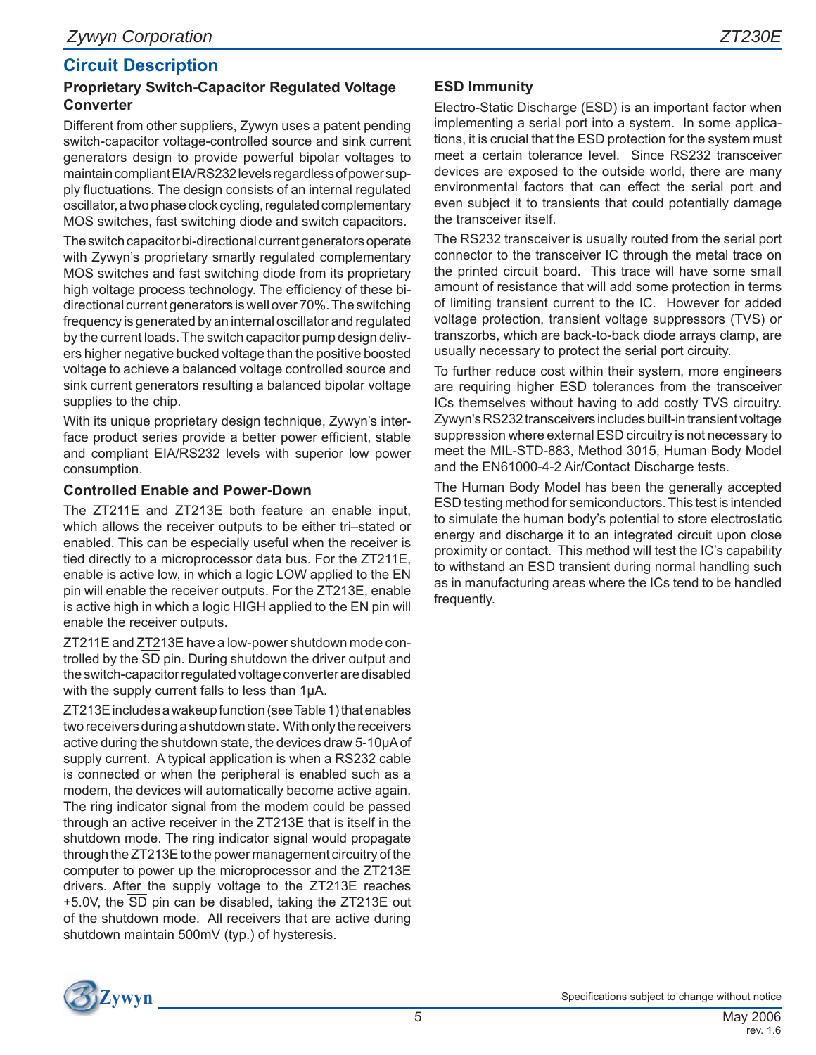## **Circuit Description**

#### **Proprietary Switch-Capacitor Regulated Voltage Converter**

Different from other suppliers, Zywyn uses a patent pending switch-capacitor voltage-controlled source and sink current generators design to provide powerful bipolar voltages to maintain compliant EIA/RS232 levels regardless of power supply fluctuations. The design consists of an internal regulated oscillator, a two phase clock cycling, regulated complementary MOS switches, fast switching diode and switch capacitors.

The switch capacitor bi-directional current generators operate with Zywyn's proprietary smartly regulated complementary MOS switches and fast switching diode from its proprietary high voltage process technology. The efficiency of these bidirectional current generators is well over 70%. The switching frequency is generated by an internal oscillator and regulated by the current loads. The switch capacitor pump design delivers higher negative bucked voltage than the positive boosted voltage to achieve a balanced voltage controlled source and sink current generators resulting a balanced bipolar voltage supplies to the chip.

With its unique proprietary design technique, Zywyn's interface product series provide a better power efficient, stable and compliant EIA/RS232 levels with superior low power consumption.

#### **Controlled Enable and Power-Down**

The ZT211E and ZT213E both feature an enable input, which allows the receiver outputs to be either tri–stated or enabled. This can be especially useful when the receiver is tied directly to a microprocessor data bus. For the ZT211E, enable is active low, in which a logic LOW applied to the EN pin will enable the receiver outputs. For the ZT213E, enable is active high in which a logic HIGH applied to the EN pin will enable the receiver outputs.

ZT211E and ZT213E have a low-power shutdown mode controlled by the SD pin. During shutdown the driver output and the switch-capacitor regulated voltage converter are disabled with the supply current falls to less than 1µA.

ZT213E includes a wakeup function (see Table 1) that enables two receivers during a shutdown state. With only the receivers active during the shutdown state, the devices draw 5-10μA of supply current. A typical application is when a RS232 cable is connected or when the peripheral is enabled such as a modem, the devices will automatically become active again. The ring indicator signal from the modem could be passed through an active receiver in the ZT213E that is itself in the shutdown mode. The ring indicator signal would propagate through the ZT213E to the power management circuitry of the computer to power up the microprocessor and the ZT213E drivers. After the supply voltage to the ZT213E reaches +5.0V, the SD pin can be disabled, taking the ZT213E out of the shutdown mode. All receivers that are active during shutdown maintain 500mV (typ.) of hysteresis.

#### **ESD Immunity**

Electro-Static Discharge (ESD) is an important factor when implementing a serial port into a system. In some applications, it is crucial that the ESD protection for the system must meet a certain tolerance level. Since RS232 transceiver devices are exposed to the outside world, there are many environmental factors that can effect the serial port and even subject it to transients that could potentially damage the transceiver itself.

The RS232 transceiver is usually routed from the serial port connector to the transceiver IC through the metal trace on the printed circuit board. This trace will have some small amount of resistance that will add some protection in terms of limiting transient current to the IC. However for added voltage protection, transient voltage suppressors (TVS) or transzorbs, which are back-to-back diode arrays clamp, are usually necessary to protect the serial port circuity.

To further reduce cost within their system, more engineers are requiring higher ESD tolerances from the transceiver ICs themselves without having to add costly TVS circuitry. Zywyn's RS232 transceivers includes built-in transient voltage suppression where external ESD circuitry is not necessary to meet the MIL-STD-883, Method 3015, Human Body Model and the EN61000-4-2 Air/Contact Discharge tests.

The Human Body Model has been the generally accepted ESD testing method for semiconductors. This test is intended to simulate the human body's potential to store electrostatic energy and discharge it to an integrated circuit upon close proximity or contact. This method will test the IC's capability to withstand an ESD transient during normal handling such as in manufacturing areas where the ICs tend to be handled frequently.

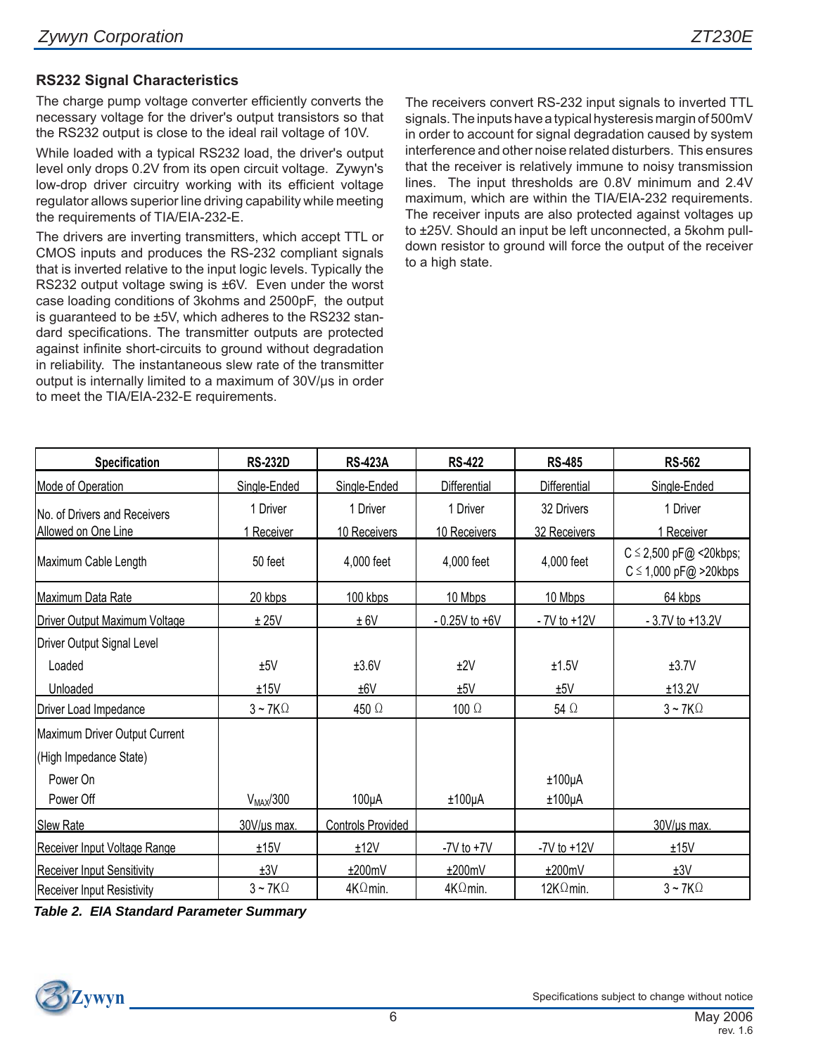#### **RS232 Signal Characteristics**

The charge pump voltage converter efficiently converts the necessary voltage for the driver's output transistors so that the RS232 output is close to the ideal rail voltage of 10V.

While loaded with a typical RS232 load, the driver's output level only drops 0.2V from its open circuit voltage. Zywyn's low-drop driver circuitry working with its efficient voltage regulator allows superior line driving capability while meeting the requirements of TIA/EIA-232-E.

The drivers are inverting transmitters, which accept TTL or CMOS inputs and produces the RS-232 compliant signals that is inverted relative to the input logic levels. Typically the RS232 output voltage swing is ±6V. Even under the worst case loading conditions of 3kohms and 2500pF, the output is guaranteed to be ±5V, which adheres to the RS232 standard specifications. The transmitter outputs are protected against infinite short-circuits to ground without degradation in reliability. The instantaneous slew rate of the transmitter output is internally limited to a maximum of 30V/μs in order to meet the TIA/EIA-232-E requirements.

The receivers convert RS-232 input signals to inverted TTL signals. The inputs have a typical hysteresis margin of 500mV in order to account for signal degradation caused by system interference and other noise related disturbers. This ensures that the receiver is relatively immune to noisy transmission lines. The input thresholds are 0.8V minimum and 2.4V maximum, which are within the TIA/EIA-232 requirements. The receiver inputs are also protected against voltages up to ±25V. Should an input be left unconnected, a 5kohm pulldown resistor to ground will force the output of the receiver to a high state.

| <b>Specification</b>              | <b>RS-232D</b> | <b>RS-423A</b>           | <b>RS-422</b>     | <b>RS-485</b>     | <b>RS-562</b>                                           |
|-----------------------------------|----------------|--------------------------|-------------------|-------------------|---------------------------------------------------------|
| Mode of Operation                 | Single-Ended   | Single-Ended             | Differential      | Differential      | Single-Ended                                            |
| No. of Drivers and Receivers      | 1 Driver       | 1 Driver                 | 1 Driver          | 32 Drivers        | 1 Driver                                                |
| Allowed on One Line               | 1 Receiver     | 10 Receivers             | 10 Receivers      | 32 Receivers      | 1 Receiver                                              |
| Maximum Cable Length              | 50 feet        | 4,000 feet               | 4,000 feet        | 4,000 feet        | $C \le 2,500$ pF@ <20kbps;<br>$C \le 1,000$ pF@ >20kbps |
| Maximum Data Rate                 | 20 kbps        | 100 kbps                 | 10 Mbps           | 10 Mbps           | 64 kbps                                                 |
| Driver Output Maximum Voltage     | ± 25V          | ± 6V                     | $-0.25V$ to $+6V$ | - 7V to +12V      | $-3.7V$ to $+13.2V$                                     |
| Driver Output Signal Level        |                |                          |                   |                   |                                                         |
| Loaded                            | ±5V            | ±3.6V                    | ±2V               | ±1.5V             | ±3.7V                                                   |
| Unloaded                          | ±15V           | ±6V                      | ±5V               | ±5V               | ±13.2V                                                  |
| Driver Load Impedance             | $3 - 7K\Omega$ | 450 $\Omega$             | 100 $\Omega$      | 54 $\Omega$       | $3 - 7K\Omega$                                          |
| Maximum Driver Output Current     |                |                          |                   |                   |                                                         |
| (High Impedance State)            |                |                          |                   |                   |                                                         |
| Power On                          |                |                          |                   | $±100\mu A$       |                                                         |
| Power Off                         | $V_{MAX}/300$  | $100\mu A$               | $±100\mu A$       | $±100\mu A$       |                                                         |
| <b>Slew Rate</b>                  | 30V/us max.    | <b>Controls Provided</b> |                   |                   | 30V/us max.                                             |
| Receiver Input Voltage Range      | ±15V           | ±12V                     | $-7V$ to $+7V$    | $-7V$ to $+12V$   | ±15V                                                    |
| <b>Receiver Input Sensitivity</b> | ±3V            | ±200mV                   | ±200mV            | ±200mV            | ±3V                                                     |
| <b>Receiver Input Resistivity</b> | $3 - 7K\Omega$ | $4K\Omega$ min.          | $4K\Omega$ min.   | 12K $\Omega$ min. | $3 \sim 7K\Omega$                                       |

*Table 2. EIA Standard Parameter Summary*

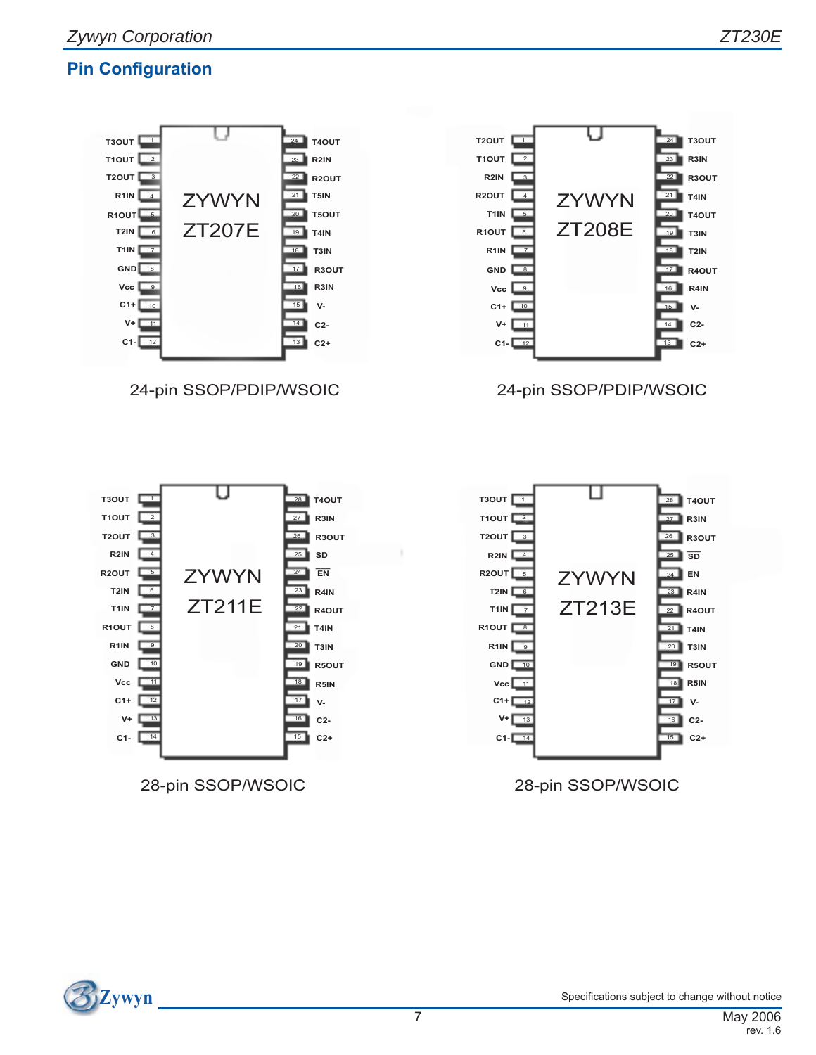# **Pin Configuration**



24-pin SSOP/PDIP/WSOIC 24-pin SSOP/PDIP/WSOIC







28-pin SSOP/WSOIC 28-pin SSOP/WSOIC

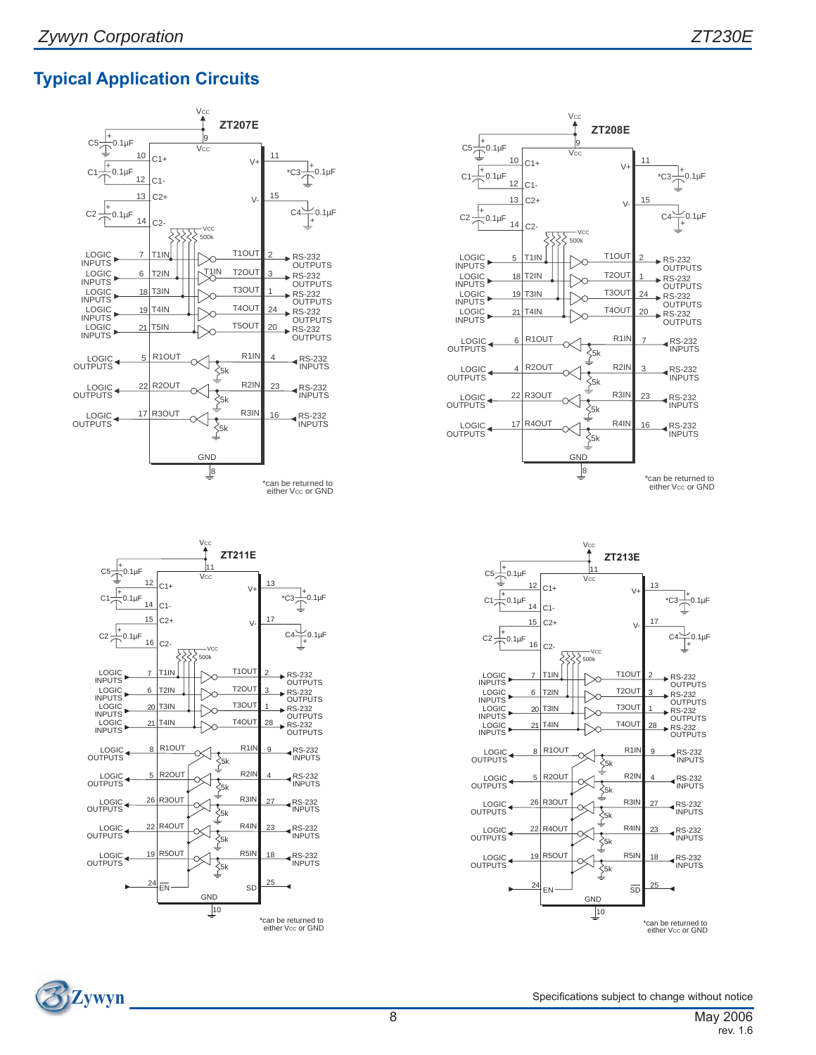# **Typical Application Circuits**









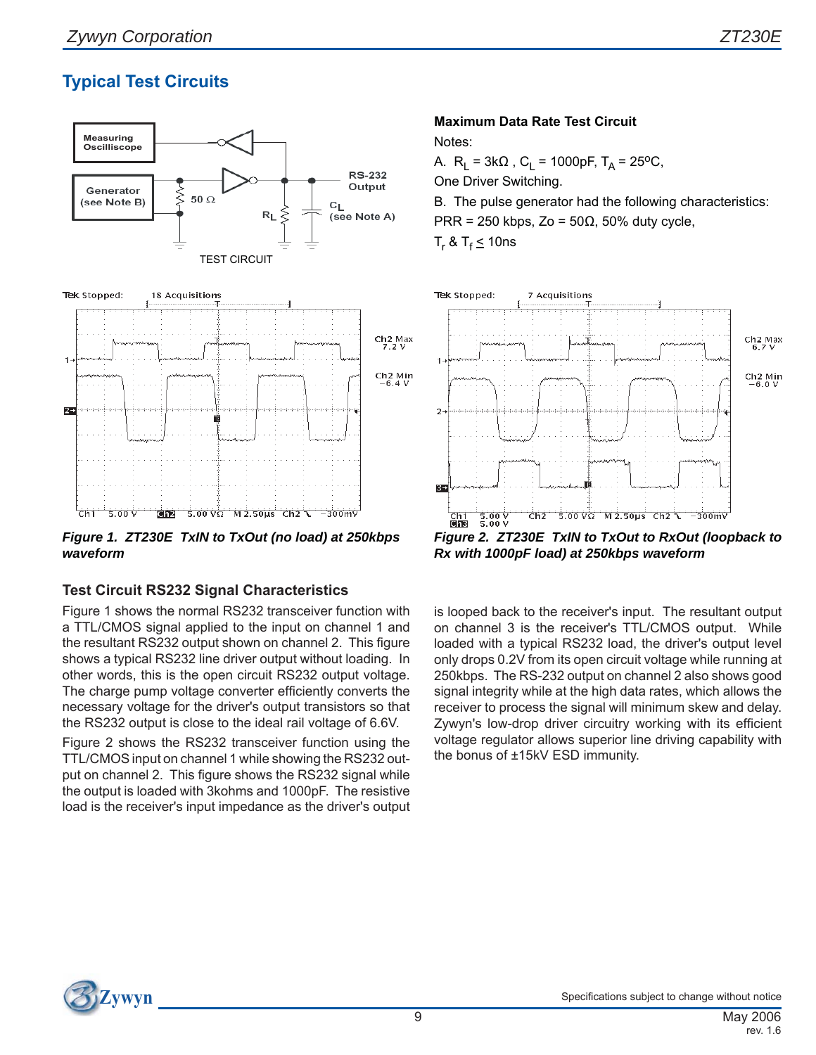# **Typical Test Circuits**



*Figure 1. ZT230E TxIN to TxOut (no load) at 250kbps waveform*

#### **Test Circuit RS232 Signal Characteristics**

Figure 1 shows the normal RS232 transceiver function with a TTL/CMOS signal applied to the input on channel 1 and the resultant RS232 output shown on channel 2. This figure shows a typical RS232 line driver output without loading. In other words, this is the open circuit RS232 output voltage. The charge pump voltage converter efficiently converts the necessary voltage for the driver's output transistors so that the RS232 output is close to the ideal rail voltage of 6.6V.

Figure 2 shows the RS232 transceiver function using the TTL/CMOS input on channel 1 while showing the RS232 output on channel 2. This figure shows the RS232 signal while the output is loaded with 3kohms and 1000pF. The resistive load is the receiver's input impedance as the driver's output

#### **Maximum Data Rate Test Circuit**

Notes:

A. R<sub>L</sub> = 3kΩ, C<sub>L</sub> = 1000pF, T<sub>A</sub> = 25<sup>o</sup>C, One Driver Switching. B. The pulse generator had the following characteristics:

PRR = 250 kbps, Zo = 50 $\Omega$ , 50% duty cycle,

T<sub>r</sub> & T<sub>f</sub> ≤ 10ns



*Figure 2. ZT230E TxIN to TxOut to RxOut (loopback to Rx with 1000pF load) at 250kbps waveform*

is looped back to the receiver's input. The resultant output on channel 3 is the receiver's TTL/CMOS output. While loaded with a typical RS232 load, the driver's output level only drops 0.2V from its open circuit voltage while running at 250kbps. The RS-232 output on channel 2 also shows good signal integrity while at the high data rates, which allows the receiver to process the signal will minimum skew and delay. Zywyn's low-drop driver circuitry working with its efficient voltage regulator allows superior line driving capability with the bonus of ±15kV ESD immunity.

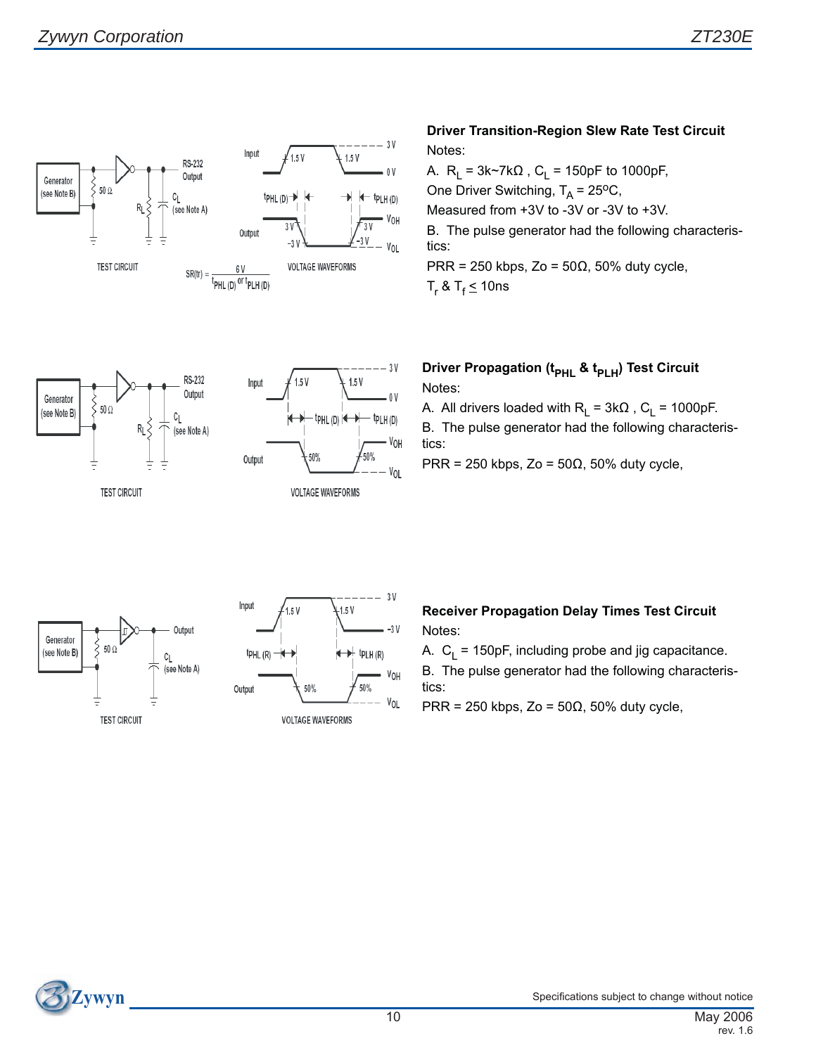

#### **Driver Transition-Region Slew Rate Test Circuit** Notes:

A.  $R_L = 3k \sim 7k\Omega$ ,  $C_L = 150pF$  to 1000pF, One Driver Switching,  $T_A = 25^{\circ}C$ , Measured from +3V to -3V or -3V to +3V. B. The pulse generator had the following characteristics:

PRR = 250 kbps, Zo =  $50\Omega$ , 50% duty cycle,  $\mathsf{T}_{\mathsf{r}}$  &  $\mathsf{T}_{\mathsf{f}}$   $\leq$  10ns

#### **Driver Propagation (t<sub>PHL</sub> & t<sub>PLH</sub>) Test Circuit** Notes:

A. All drivers loaded with  $R_L = 3k\Omega$ ,  $C_L = 1000pF$ .

B. The pulse generator had the following characteristics:

PRR = 250 kbps, Zo = 50 $\Omega$ , 50% duty cycle,





#### **Receiver Propagation Delay Times Test Circuit** Notes:

A.  $C_{L}$  = 150pF, including probe and jig capacitance.

B. The pulse generator had the following characteristics:

PRR = 250 kbps, Zo =  $50\Omega$ , 50% duty cycle,

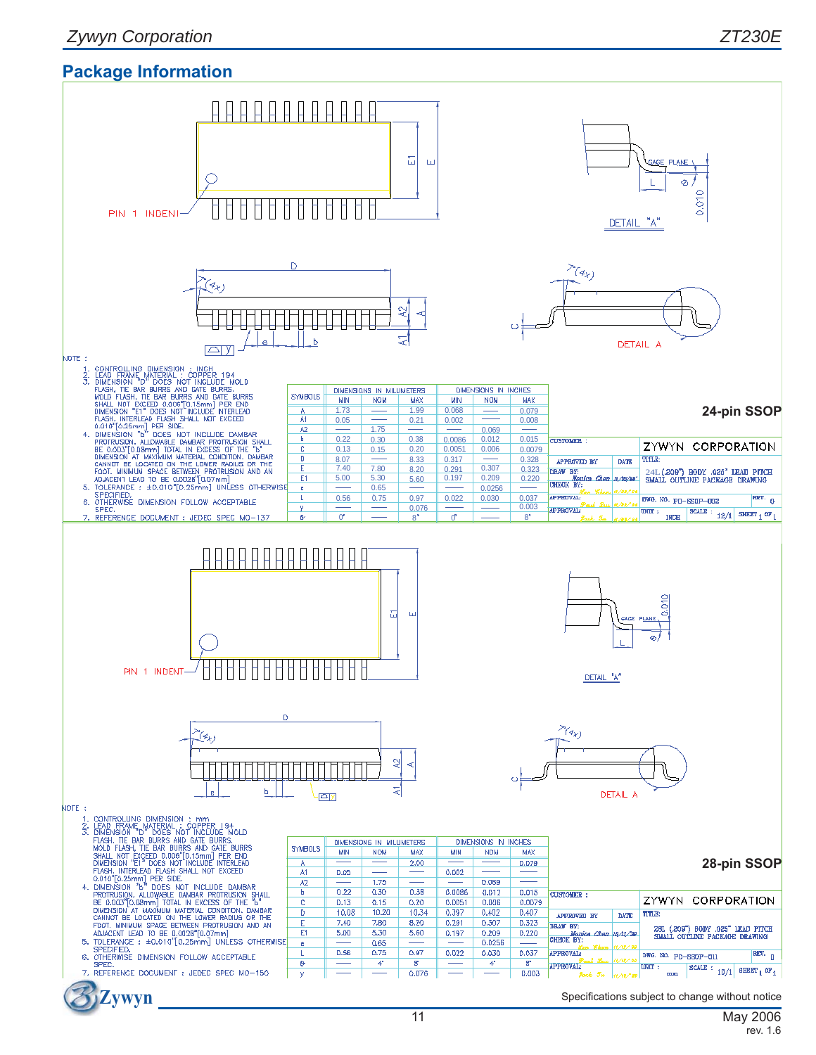## *Zywyn Corporation ZT230E*

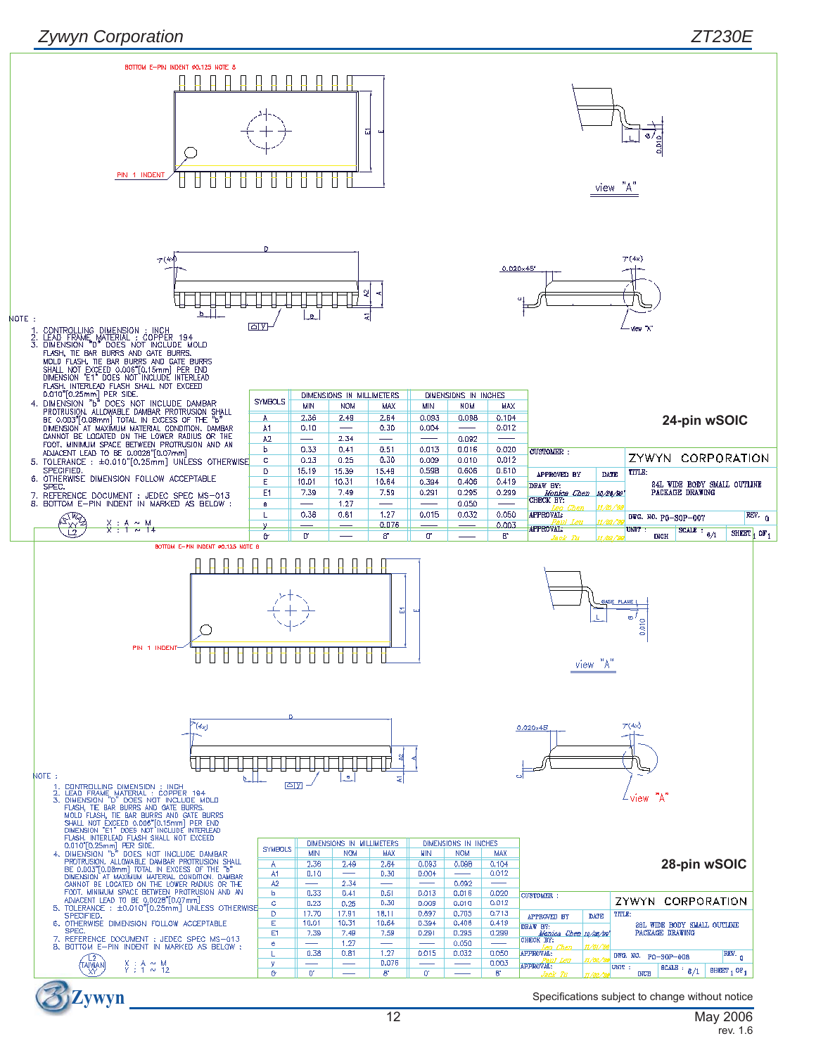# *Zywyn Corporation ZT230E*

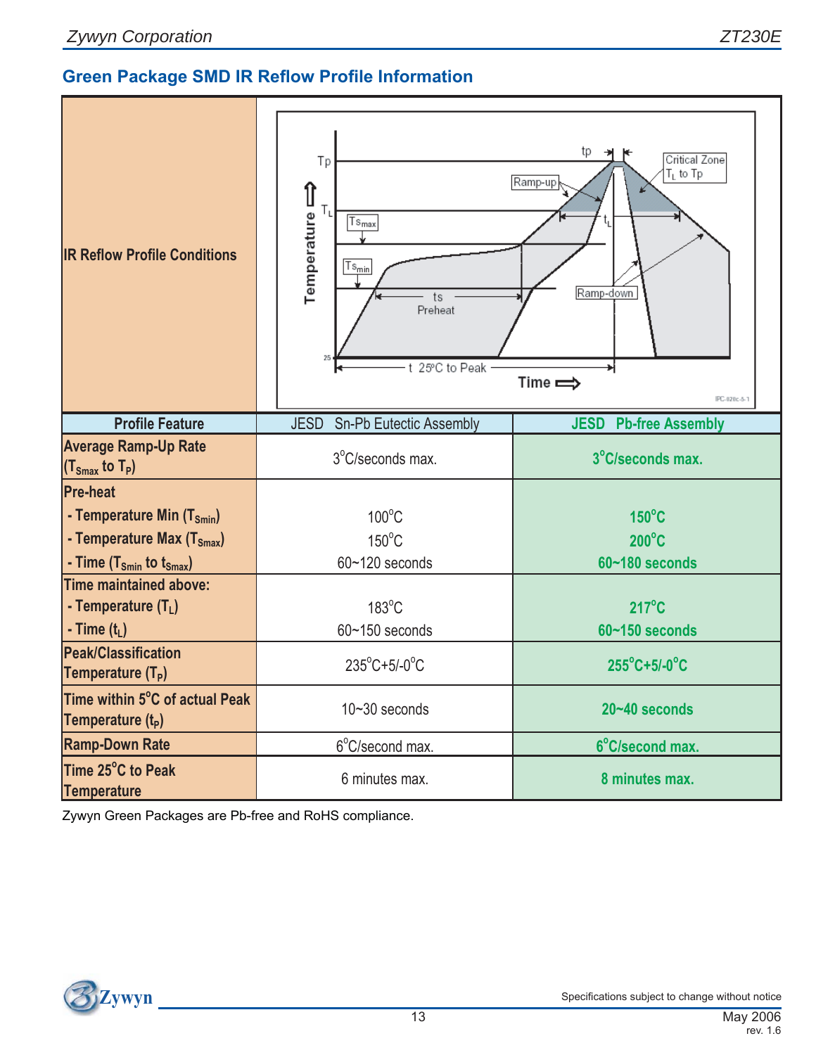# **Green Package SMD IR Reflow Profile Information**



Zywyn Green Packages are Pb-free and RoHS compliance.